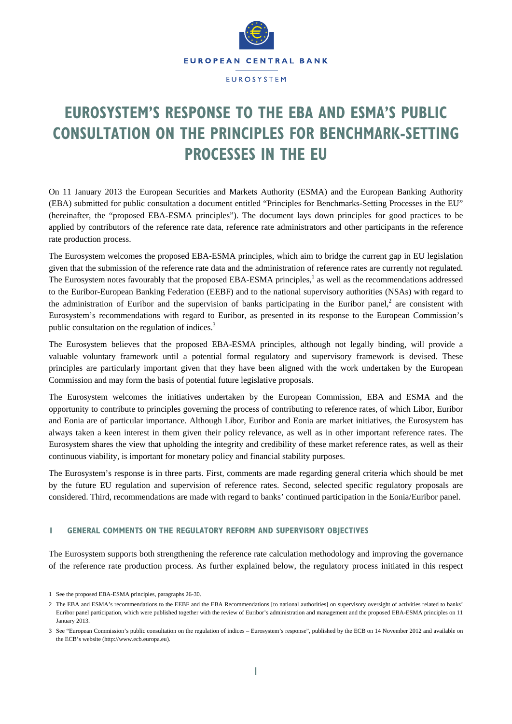

# **EUROSYSTEM'S RESPONSE TO THE EBA AND ESMA'S PUBLIC CONSULTATION ON THE PRINCIPLES FOR BENCHMARK-SETTING PROCESSES IN THE EU**

On 11 January 2013 the European Securities and Markets Authority (ESMA) and the European Banking Authority (EBA) submitted for public consultation a document entitled "Principles for Benchmarks-Setting Processes in the EU" (hereinafter, the "proposed EBA-ESMA principles"). The document lays down principles for good practices to be applied by contributors of the reference rate data, reference rate administrators and other participants in the reference rate production process.

The Eurosystem welcomes the proposed EBA-ESMA principles, which aim to bridge the current gap in EU legislation given that the submission of the reference rate data and the administration of reference rates are currently not regulated. The Eurosystem notes favourably that the proposed EBA-ESMA principles,<sup>1</sup> as well as the recommendations addressed to the Euribor-European Banking Federation (EEBF) and to the national supervisory authorities (NSAs) with regard to the administration of Euribor and the supervision of banks participating in the Euribor panel, $2$  are consistent with Eurosystem's recommendations with regard to Euribor, as presented in its response to the European Commission's public consultation on the regulation of indices.<sup>3</sup>

The Eurosystem believes that the proposed EBA-ESMA principles, although not legally binding, will provide a valuable voluntary framework until a potential formal regulatory and supervisory framework is devised. These principles are particularly important given that they have been aligned with the work undertaken by the European Commission and may form the basis of potential future legislative proposals.

The Eurosystem welcomes the initiatives undertaken by the European Commission, EBA and ESMA and the opportunity to contribute to principles governing the process of contributing to reference rates, of which Libor, Euribor and Eonia are of particular importance. Although Libor, Euribor and Eonia are market initiatives, the Eurosystem has always taken a keen interest in them given their policy relevance, as well as in other important reference rates. The Eurosystem shares the view that upholding the integrity and credibility of these market reference rates, as well as their continuous viability, is important for monetary policy and financial stability purposes.

The Eurosystem's response is in three parts. First, comments are made regarding general criteria which should be met by the future EU regulation and supervision of reference rates. Second, selected specific regulatory proposals are considered. Third, recommendations are made with regard to banks' continued participation in the Eonia/Euribor panel.

# **1 GENERAL COMMENTS ON THE REGULATORY REFORM AND SUPERVISORY OBJECTIVES**

The Eurosystem supports both strengthening the reference rate calculation methodology and improving the governance of the reference rate production process. As further explained below, the regulatory process initiated in this respect

 $\overline{a}$ 

<sup>1</sup> See the proposed EBA-ESMA principles, paragraphs 26-30.

<sup>2</sup> The EBA and ESMA's recommendations to the EEBF and the EBA Recommendations [to national authorities] on supervisory oversight of activities related to banks' Euribor panel participation, which were published together with the review of Euribor's administration and management and the proposed EBA-ESMA principles on 11 January 2013.

<sup>3</sup> See "European Commission's public consultation on the regulation of indices – Eurosystem's response", published by the ECB on 14 November 2012 and available on the ECB's website (http://www.ecb.europa.eu).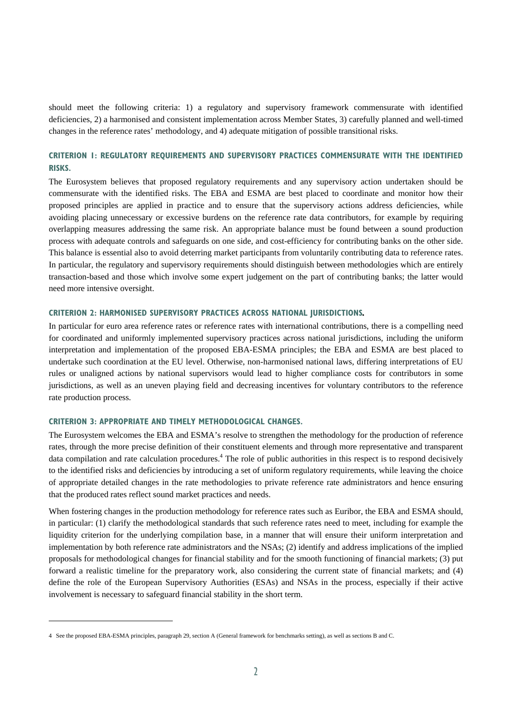should meet the following criteria: 1) a regulatory and supervisory framework commensurate with identified deficiencies, 2) a harmonised and consistent implementation across Member States, 3) carefully planned and well-timed changes in the reference rates' methodology, and 4) adequate mitigation of possible transitional risks.

# **CRITERION 1: REGULATORY REQUIREMENTS AND SUPERVISORY PRACTICES COMMENSURATE WITH THE IDENTIFIED RISKS.**

The Eurosystem believes that proposed regulatory requirements and any supervisory action undertaken should be commensurate with the identified risks. The EBA and ESMA are best placed to coordinate and monitor how their proposed principles are applied in practice and to ensure that the supervisory actions address deficiencies, while avoiding placing unnecessary or excessive burdens on the reference rate data contributors, for example by requiring overlapping measures addressing the same risk. An appropriate balance must be found between a sound production process with adequate controls and safeguards on one side, and cost-efficiency for contributing banks on the other side. This balance is essential also to avoid deterring market participants from voluntarily contributing data to reference rates. In particular, the regulatory and supervisory requirements should distinguish between methodologies which are entirely transaction-based and those which involve some expert judgement on the part of contributing banks; the latter would need more intensive oversight.

#### **CRITERION 2: HARMONISED SUPERVISORY PRACTICES ACROSS NATIONAL JURISDICTIONS***.*

In particular for euro area reference rates or reference rates with international contributions, there is a compelling need for coordinated and uniformly implemented supervisory practices across national jurisdictions, including the uniform interpretation and implementation of the proposed EBA-ESMA principles; the EBA and ESMA are best placed to undertake such coordination at the EU level. Otherwise, non-harmonised national laws, differing interpretations of EU rules or unaligned actions by national supervisors would lead to higher compliance costs for contributors in some jurisdictions, as well as an uneven playing field and decreasing incentives for voluntary contributors to the reference rate production process.

#### **CRITERION 3: APPROPRIATE AND TIMELY METHODOLOGICAL CHANGES.**

 $\overline{a}$ 

The Eurosystem welcomes the EBA and ESMA's resolve to strengthen the methodology for the production of reference rates, through the more precise definition of their constituent elements and through more representative and transparent data compilation and rate calculation procedures.<sup>4</sup> The role of public authorities in this respect is to respond decisively to the identified risks and deficiencies by introducing a set of uniform regulatory requirements, while leaving the choice of appropriate detailed changes in the rate methodologies to private reference rate administrators and hence ensuring that the produced rates reflect sound market practices and needs.

When fostering changes in the production methodology for reference rates such as Euribor, the EBA and ESMA should, in particular: (1) clarify the methodological standards that such reference rates need to meet, including for example the liquidity criterion for the underlying compilation base, in a manner that will ensure their uniform interpretation and implementation by both reference rate administrators and the NSAs; (2) identify and address implications of the implied proposals for methodological changes for financial stability and for the smooth functioning of financial markets; (3) put forward a realistic timeline for the preparatory work, also considering the current state of financial markets; and (4) define the role of the European Supervisory Authorities (ESAs) and NSAs in the process, especially if their active involvement is necessary to safeguard financial stability in the short term.

<sup>4</sup> See the proposed EBA-ESMA principles, paragraph 29, section A (General framework for benchmarks setting), as well as sections B and C.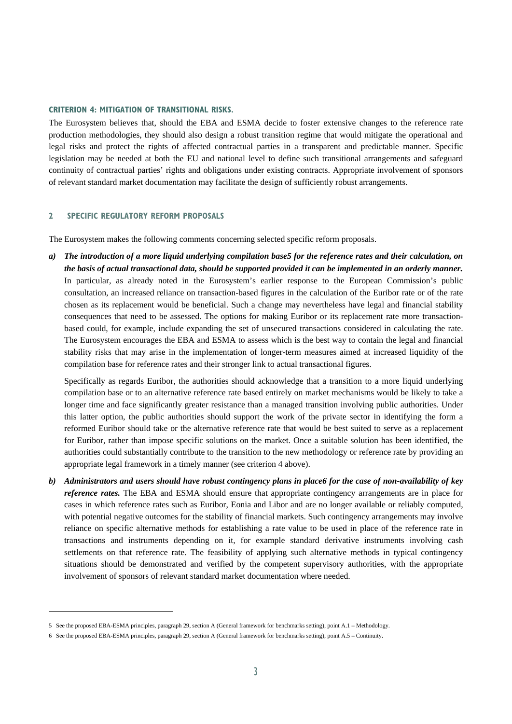#### **CRITERION 4: MITIGATION OF TRANSITIONAL RISKS.**

The Eurosystem believes that, should the EBA and ESMA decide to foster extensive changes to the reference rate production methodologies, they should also design a robust transition regime that would mitigate the operational and legal risks and protect the rights of affected contractual parties in a transparent and predictable manner. Specific legislation may be needed at both the EU and national level to define such transitional arrangements and safeguard continuity of contractual parties' rights and obligations under existing contracts. Appropriate involvement of sponsors of relevant standard market documentation may facilitate the design of sufficiently robust arrangements.

## **2 SPECIFIC REGULATORY REFORM PROPOSALS**

 $\overline{a}$ 

The Eurosystem makes the following comments concerning selected specific reform proposals.

*a) The introduction of a more liquid underlying compilation base5 for the reference rates and their calculation, on the basis of actual transactional data, should be supported provided it can be implemented in an orderly manner.* In particular, as already noted in the Eurosystem's earlier response to the European Commission's public consultation, an increased reliance on transaction-based figures in the calculation of the Euribor rate or of the rate chosen as its replacement would be beneficial. Such a change may nevertheless have legal and financial stability consequences that need to be assessed. The options for making Euribor or its replacement rate more transactionbased could, for example, include expanding the set of unsecured transactions considered in calculating the rate. The Eurosystem encourages the EBA and ESMA to assess which is the best way to contain the legal and financial stability risks that may arise in the implementation of longer-term measures aimed at increased liquidity of the compilation base for reference rates and their stronger link to actual transactional figures.

Specifically as regards Euribor, the authorities should acknowledge that a transition to a more liquid underlying compilation base or to an alternative reference rate based entirely on market mechanisms would be likely to take a longer time and face significantly greater resistance than a managed transition involving public authorities. Under this latter option, the public authorities should support the work of the private sector in identifying the form a reformed Euribor should take or the alternative reference rate that would be best suited to serve as a replacement for Euribor, rather than impose specific solutions on the market. Once a suitable solution has been identified, the authorities could substantially contribute to the transition to the new methodology or reference rate by providing an appropriate legal framework in a timely manner (see criterion 4 above).

*b) Administrators and users should have robust contingency plans in place6 for the case of non-availability of key reference rates.* The EBA and ESMA should ensure that appropriate contingency arrangements are in place for cases in which reference rates such as Euribor, Eonia and Libor and are no longer available or reliably computed, with potential negative outcomes for the stability of financial markets. Such contingency arrangements may involve reliance on specific alternative methods for establishing a rate value to be used in place of the reference rate in transactions and instruments depending on it, for example standard derivative instruments involving cash settlements on that reference rate. The feasibility of applying such alternative methods in typical contingency situations should be demonstrated and verified by the competent supervisory authorities, with the appropriate involvement of sponsors of relevant standard market documentation where needed.

<sup>5</sup> See the proposed EBA-ESMA principles, paragraph 29, section A (General framework for benchmarks setting), point A.1 – Methodology.

<sup>6</sup> See the proposed EBA-ESMA principles, paragraph 29, section A (General framework for benchmarks setting), point A.5 – Continuity.